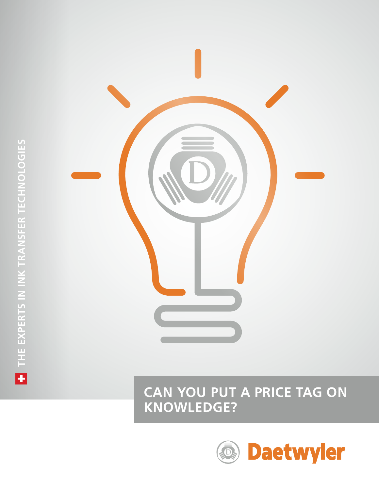



# **CAN YOU PUT A PRICE TAG ON KNOWLEDGE?**

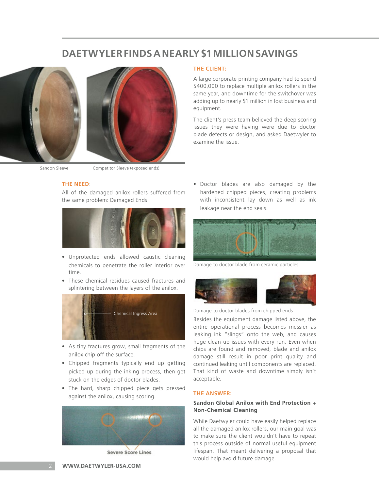# **DAETWYLER FINDS A NEARLY \$1 MILLION SAVINGS**



#### Sandon Sleeve Competitor Sleeve (exposed ends)

### **THE NEED**:

All of the damaged anilox rollers suffered from the same problem: Damaged Ends



- Unprotected ends allowed caustic cleaning chemicals to penetrate the roller interior over time.
- These chemical residues caused fractures and splintering between the layers of the anilox.



- As tiny fractures grow, small fragments of the anilox chip off the surface.
- Chipped fragments typically end up getting picked up during the inking process, then get stuck on the edges of doctor blades.
- The hard, sharp chipped piece gets pressed against the anilox, causing scoring.



**Severe Score Lines** 

**THE CLIENT:**

A large corporate printing company had to spend \$400,000 to replace multiple anilox rollers in the same year, and downtime for the switchover was adding up to nearly \$1 million in lost business and equipment.

The client's press team believed the deep scoring issues they were having were due to doctor blade defects or design, and asked Daetwyler to examine the issue.

• Doctor blades are also damaged by the hardened chipped pieces, creating problems with inconsistent lay down as well as ink leakage near the end seals.



Damage to doctor blade from ceramic particles



Damage to doctor blades from chipped ends

Besides the equipment damage listed above, the entire operational process becomes messier as leaking ink "slings" onto the web, and causes huge clean-up issues with every run. Even when chips are found and removed, blade and anilox damage still result in poor print quality and continued leaking until components are replaced. That kind of waste and downtime simply isn't acceptable.

#### **THE ANSWER:**

# **Sandon Global Anilox with End Protection + Non-Chemical Cleaning**

While Daetwyler could have easily helped replace all the damaged anilox rollers, our main goal was to make sure the client wouldn't have to repeat this process outside of normal useful equipment lifespan. That meant delivering a proposal that would help avoid future damage.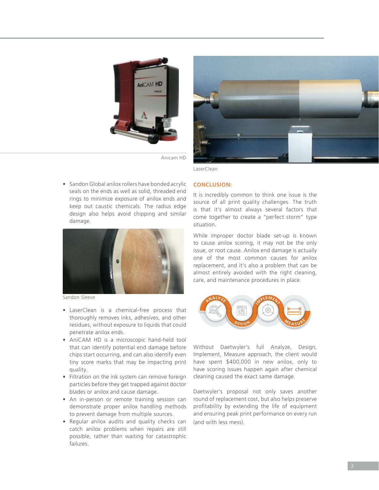



Anicam HD

• Sandon Global anilox rollers have bonded acrylic seals on the ends as well as solid, threaded end rings to minimize exposure of anilox ends and keep out caustic chemicals. The radius edge design also helps avoid chipping and similar damage.



Sandon Sleeve

- LaserClean is a chemical-free process that thoroughly removes inks, adhesives, and other residues, without exposure to liquids that could penetrate anilox ends.
- AniCAM HD is a microscopic hand-held tool that can identify potential end damage before chips start occurring, and can also identify even tiny score marks that may be impacting print quality.
- Filtration on the ink system can remove foreign particles before they get trapped against doctor blades or anilox and cause damage.
- An in-person or remote training session can demonstrate proper anilox handling methods to prevent damage from multiple sources.
- Regular anilox audits and quality checks can catch anilox problems when repairs are still possible, rather than waiting for catastrophic failures.

#### **CONCLUSION:**

LaserClean

It is incredibly common to think one issue is the source of all print quality challenges. The truth is that it's almost always several factors that come together to create a "perfect storm" type situation.

While improper doctor blade set-up is known to cause anilox scoring, it may not be the only issue, or root cause. Anilox end damage is actually one of the most common causes for anilox replacement, and it's also a problem that can be almost entirely avoided with the right cleaning, care, and maintenance procedures in place.



Without Daetwyler's full Analyze, Design, Implement, Measure approach, the client would have spent \$400,000 in new anilox, only to have scoring issues happen again after chemical cleaning caused the exact same damage.

Daetwyler's proposal not only saves another round of replacement cost, but also helps preserve profitability by extending the life of equipment and ensuring peak print performance on every run (and with less mess).